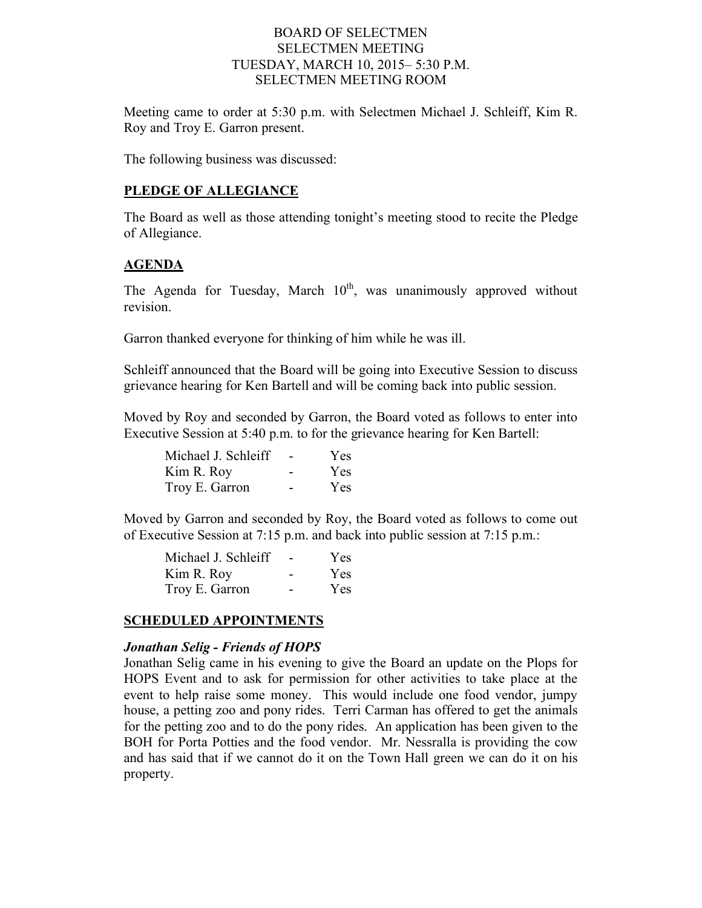#### BOARD OF SELECTMEN SELECTMEN MEETING TUESDAY, MARCH 10, 2015– 5:30 P.M. SELECTMEN MEETING ROOM

Meeting came to order at 5:30 p.m. with Selectmen Michael J. Schleiff, Kim R. Roy and Troy E. Garron present.

The following business was discussed:

#### **PLEDGE OF ALLEGIANCE**

The Board as well as those attending tonight's meeting stood to recite the Pledge of Allegiance.

#### **AGENDA**

The Agenda for Tuesday, March  $10<sup>th</sup>$ , was unanimously approved without revision.

Garron thanked everyone for thinking of him while he was ill.

Schleiff announced that the Board will be going into Executive Session to discuss grievance hearing for Ken Bartell and will be coming back into public session.

Moved by Roy and seconded by Garron, the Board voted as follows to enter into Executive Session at 5:40 p.m. to for the grievance hearing for Ken Bartell:

| Michael J. Schleiff | <b>Yes</b> |
|---------------------|------------|
| Kim R. Roy          | <b>Yes</b> |
| Troy E. Garron      | <b>Yes</b> |

Moved by Garron and seconded by Roy, the Board voted as follows to come out of Executive Session at 7:15 p.m. and back into public session at 7:15 p.m.:

| Michael J. Schleiff |   | <b>Yes</b> |
|---------------------|---|------------|
| Kim R. Roy          |   | <b>Yes</b> |
| Troy E. Garron      | - | <b>Yes</b> |

#### **SCHEDULED APPOINTMENTS**

#### *Jonathan Selig - Friends of HOPS*

Jonathan Selig came in his evening to give the Board an update on the Plops for HOPS Event and to ask for permission for other activities to take place at the event to help raise some money. This would include one food vendor, jumpy house, a petting zoo and pony rides. Terri Carman has offered to get the animals for the petting zoo and to do the pony rides. An application has been given to the BOH for Porta Potties and the food vendor. Mr. Nessralla is providing the cow and has said that if we cannot do it on the Town Hall green we can do it on his property.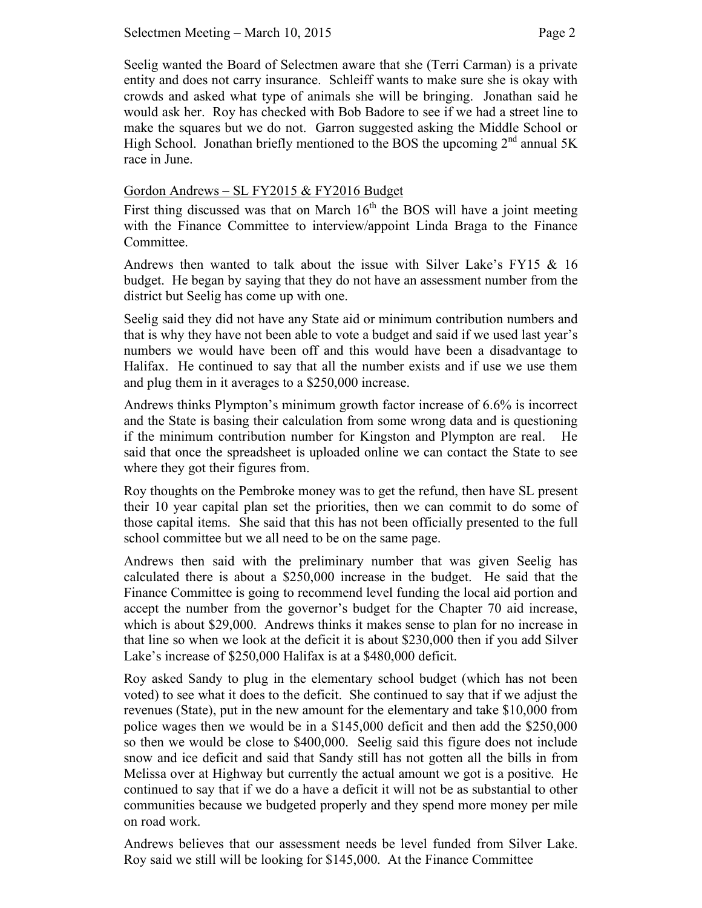Seelig wanted the Board of Selectmen aware that she (Terri Carman) is a private entity and does not carry insurance. Schleiff wants to make sure she is okay with crowds and asked what type of animals she will be bringing. Jonathan said he would ask her. Roy has checked with Bob Badore to see if we had a street line to make the squares but we do not. Garron suggested asking the Middle School or High School. Jonathan briefly mentioned to the BOS the upcoming  $2<sup>nd</sup>$  annual 5K race in June.

#### Gordon Andrews – SL FY2015 & FY2016 Budget

First thing discussed was that on March  $16<sup>th</sup>$  the BOS will have a joint meeting with the Finance Committee to interview/appoint Linda Braga to the Finance Committee.

Andrews then wanted to talk about the issue with Silver Lake's FY15 & 16 budget. He began by saying that they do not have an assessment number from the district but Seelig has come up with one.

Seelig said they did not have any State aid or minimum contribution numbers and that is why they have not been able to vote a budget and said if we used last year's numbers we would have been off and this would have been a disadvantage to Halifax. He continued to say that all the number exists and if use we use them and plug them in it averages to a \$250,000 increase.

Andrews thinks Plympton's minimum growth factor increase of 6.6% is incorrect and the State is basing their calculation from some wrong data and is questioning if the minimum contribution number for Kingston and Plympton are real. He said that once the spreadsheet is uploaded online we can contact the State to see where they got their figures from.

Roy thoughts on the Pembroke money was to get the refund, then have SL present their 10 year capital plan set the priorities, then we can commit to do some of those capital items. She said that this has not been officially presented to the full school committee but we all need to be on the same page.

Andrews then said with the preliminary number that was given Seelig has calculated there is about a \$250,000 increase in the budget. He said that the Finance Committee is going to recommend level funding the local aid portion and accept the number from the governor's budget for the Chapter 70 aid increase, which is about \$29,000. Andrews thinks it makes sense to plan for no increase in that line so when we look at the deficit it is about \$230,000 then if you add Silver Lake's increase of \$250,000 Halifax is at a \$480,000 deficit.

Roy asked Sandy to plug in the elementary school budget (which has not been voted) to see what it does to the deficit. She continued to say that if we adjust the revenues (State), put in the new amount for the elementary and take \$10,000 from police wages then we would be in a \$145,000 deficit and then add the \$250,000 so then we would be close to \$400,000. Seelig said this figure does not include snow and ice deficit and said that Sandy still has not gotten all the bills in from Melissa over at Highway but currently the actual amount we got is a positive. He continued to say that if we do a have a deficit it will not be as substantial to other communities because we budgeted properly and they spend more money per mile on road work.

Andrews believes that our assessment needs be level funded from Silver Lake. Roy said we still will be looking for \$145,000. At the Finance Committee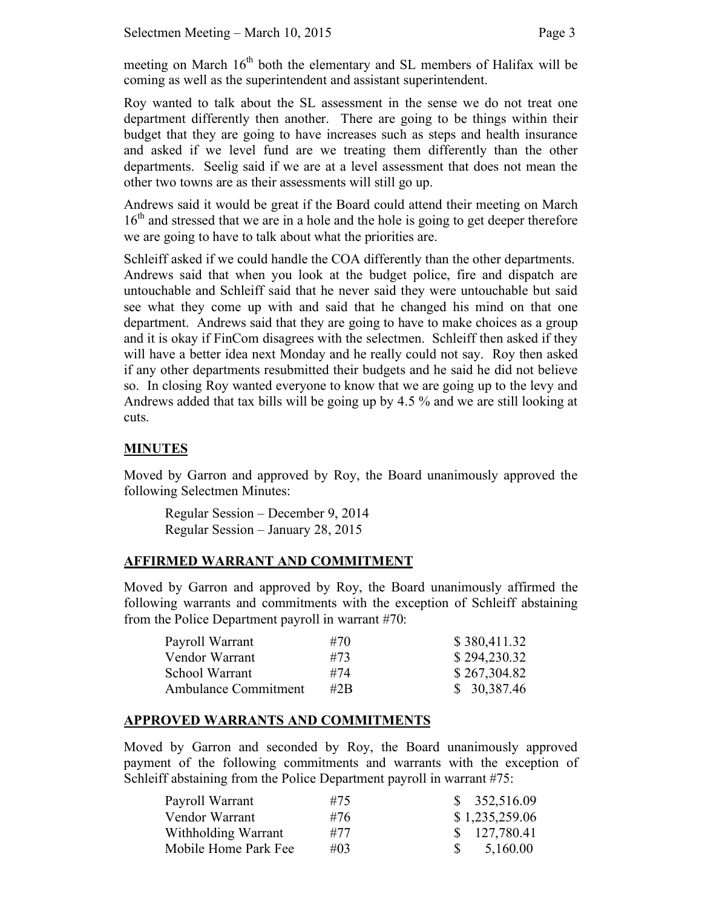meeting on March  $16<sup>th</sup>$  both the elementary and SL members of Halifax will be coming as well as the superintendent and assistant superintendent.

Roy wanted to talk about the SL assessment in the sense we do not treat one department differently then another. There are going to be things within their budget that they are going to have increases such as steps and health insurance and asked if we level fund are we treating them differently than the other departments. Seelig said if we are at a level assessment that does not mean the other two towns are as their assessments will still go up.

Andrews said it would be great if the Board could attend their meeting on March 16<sup>th</sup> and stressed that we are in a hole and the hole is going to get deeper therefore we are going to have to talk about what the priorities are.

Schleiff asked if we could handle the COA differently than the other departments. Andrews said that when you look at the budget police, fire and dispatch are untouchable and Schleiff said that he never said they were untouchable but said see what they come up with and said that he changed his mind on that one department. Andrews said that they are going to have to make choices as a group and it is okay if FinCom disagrees with the selectmen. Schleiff then asked if they will have a better idea next Monday and he really could not say. Roy then asked if any other departments resubmitted their budgets and he said he did not believe so. In closing Roy wanted everyone to know that we are going up to the levy and Andrews added that tax bills will be going up by 4.5 % and we are still looking at cuts.

# **MINUTES**

Moved by Garron and approved by Roy, the Board unanimously approved the following Selectmen Minutes:

Regular Session – December 9, 2014 Regular Session – January 28, 2015

# **AFFIRMED WARRANT AND COMMITMENT**

Moved by Garron and approved by Roy, the Board unanimously affirmed the following warrants and commitments with the exception of Schleiff abstaining from the Police Department payroll in warrant #70:

| Payroll Warrant             | #70    | \$380,411.32 |
|-----------------------------|--------|--------------|
| Vendor Warrant              | #73    | \$294,230.32 |
| School Warrant              | #74    | \$267,304.82 |
| <b>Ambulance Commitment</b> | #2 $B$ | \$30,387.46  |

#### **APPROVED WARRANTS AND COMMITMENTS**

Moved by Garron and seconded by Roy, the Board unanimously approved payment of the following commitments and warrants with the exception of Schleiff abstaining from the Police Department payroll in warrant #75:

| Payroll Warrant      | #75    | \$352,516.09   |
|----------------------|--------|----------------|
| Vendor Warrant       | #76    | \$1,235,259.06 |
| Withholding Warrant  | #77    | \$127,780.41   |
| Mobile Home Park Fee | $\#03$ | 5,160.00       |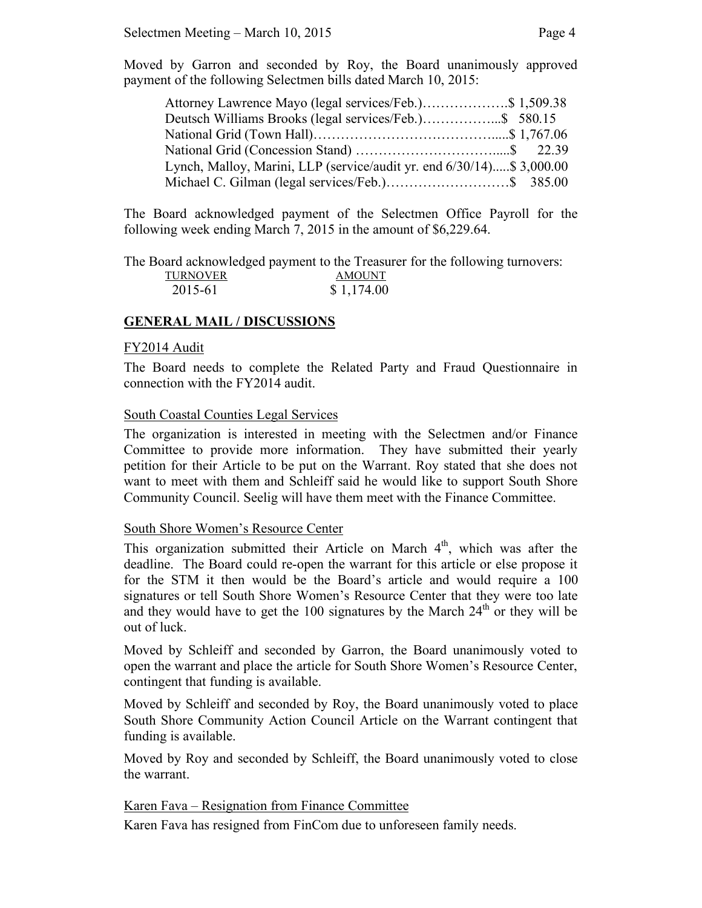Moved by Garron and seconded by Roy, the Board unanimously approved payment of the following Selectmen bills dated March 10, 2015:

| Attorney Lawrence Mayo (legal services/Feb.)\$ 1,509.38               |  |  |
|-----------------------------------------------------------------------|--|--|
| Deutsch Williams Brooks (legal services/Feb.)\$ 580.15                |  |  |
|                                                                       |  |  |
|                                                                       |  |  |
| Lynch, Malloy, Marini, LLP (service/audit yr. end 6/30/14)\$ 3,000.00 |  |  |
|                                                                       |  |  |

The Board acknowledged payment of the Selectmen Office Payroll for the following week ending March 7, 2015 in the amount of \$6,229.64.

The Board acknowledged payment to the Treasurer for the following turnovers:

| <b>TURNOVER</b> | <b>AMOUNT</b> |
|-----------------|---------------|
| 2015-61         | \$1,174.00    |

# **GENERAL MAIL / DISCUSSIONS**

#### FY2014 Audit

The Board needs to complete the Related Party and Fraud Questionnaire in connection with the FY2014 audit.

#### South Coastal Counties Legal Services

The organization is interested in meeting with the Selectmen and/or Finance Committee to provide more information. They have submitted their yearly petition for their Article to be put on the Warrant. Roy stated that she does not want to meet with them and Schleiff said he would like to support South Shore Community Council. Seelig will have them meet with the Finance Committee.

# South Shore Women's Resource Center

This organization submitted their Article on March  $4<sup>th</sup>$ , which was after the deadline. The Board could re-open the warrant for this article or else propose it for the STM it then would be the Board's article and would require a 100 signatures or tell South Shore Women's Resource Center that they were too late and they would have to get the 100 signatures by the March  $24<sup>th</sup>$  or they will be out of luck.

Moved by Schleiff and seconded by Garron, the Board unanimously voted to open the warrant and place the article for South Shore Women's Resource Center, contingent that funding is available.

Moved by Schleiff and seconded by Roy, the Board unanimously voted to place South Shore Community Action Council Article on the Warrant contingent that funding is available.

Moved by Roy and seconded by Schleiff, the Board unanimously voted to close the warrant.

# Karen Fava – Resignation from Finance Committee

Karen Fava has resigned from FinCom due to unforeseen family needs.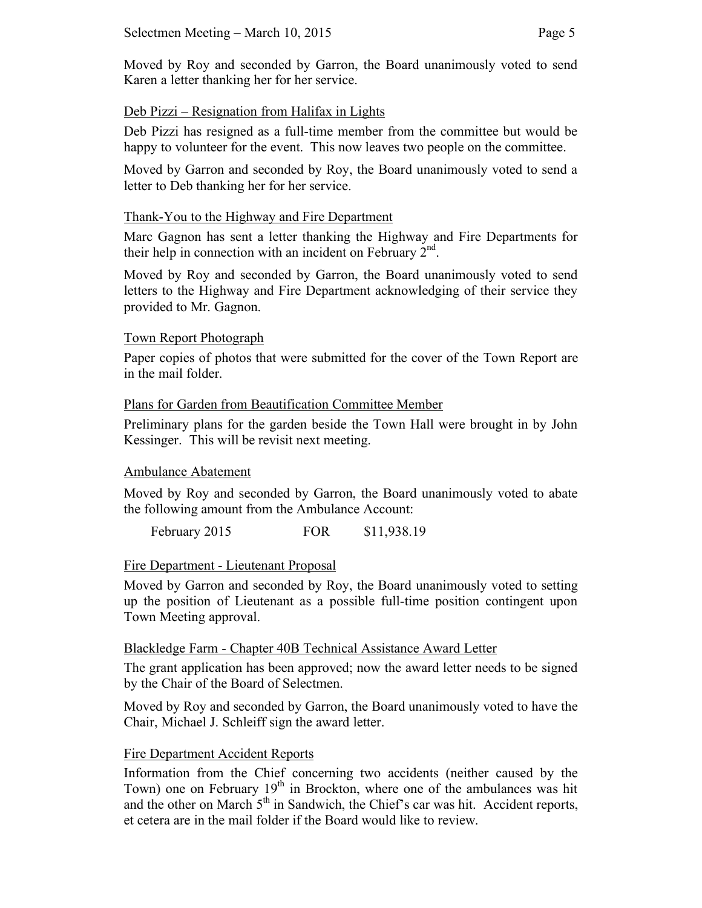Moved by Roy and seconded by Garron, the Board unanimously voted to send Karen a letter thanking her for her service.

# Deb Pizzi – Resignation from Halifax in Lights

Deb Pizzi has resigned as a full-time member from the committee but would be happy to volunteer for the event. This now leaves two people on the committee.

Moved by Garron and seconded by Roy, the Board unanimously voted to send a letter to Deb thanking her for her service.

# Thank-You to the Highway and Fire Department

Marc Gagnon has sent a letter thanking the Highway and Fire Departments for their help in connection with an incident on February  $2<sup>nd</sup>$ .

Moved by Roy and seconded by Garron, the Board unanimously voted to send letters to the Highway and Fire Department acknowledging of their service they provided to Mr. Gagnon.

# Town Report Photograph

Paper copies of photos that were submitted for the cover of the Town Report are in the mail folder.

# Plans for Garden from Beautification Committee Member

Preliminary plans for the garden beside the Town Hall were brought in by John Kessinger. This will be revisit next meeting.

# Ambulance Abatement

Moved by Roy and seconded by Garron, the Board unanimously voted to abate the following amount from the Ambulance Account:

February 2015 **FOR** \$11,938.19

# Fire Department - Lieutenant Proposal

Moved by Garron and seconded by Roy, the Board unanimously voted to setting up the position of Lieutenant as a possible full-time position contingent upon Town Meeting approval.

# Blackledge Farm - Chapter 40B Technical Assistance Award Letter

The grant application has been approved; now the award letter needs to be signed by the Chair of the Board of Selectmen.

Moved by Roy and seconded by Garron, the Board unanimously voted to have the Chair, Michael J. Schleiff sign the award letter.

# Fire Department Accident Reports

Information from the Chief concerning two accidents (neither caused by the Town) one on February  $19<sup>th</sup>$  in Brockton, where one of the ambulances was hit and the other on March  $5<sup>th</sup>$  in Sandwich, the Chief's car was hit. Accident reports, et cetera are in the mail folder if the Board would like to review.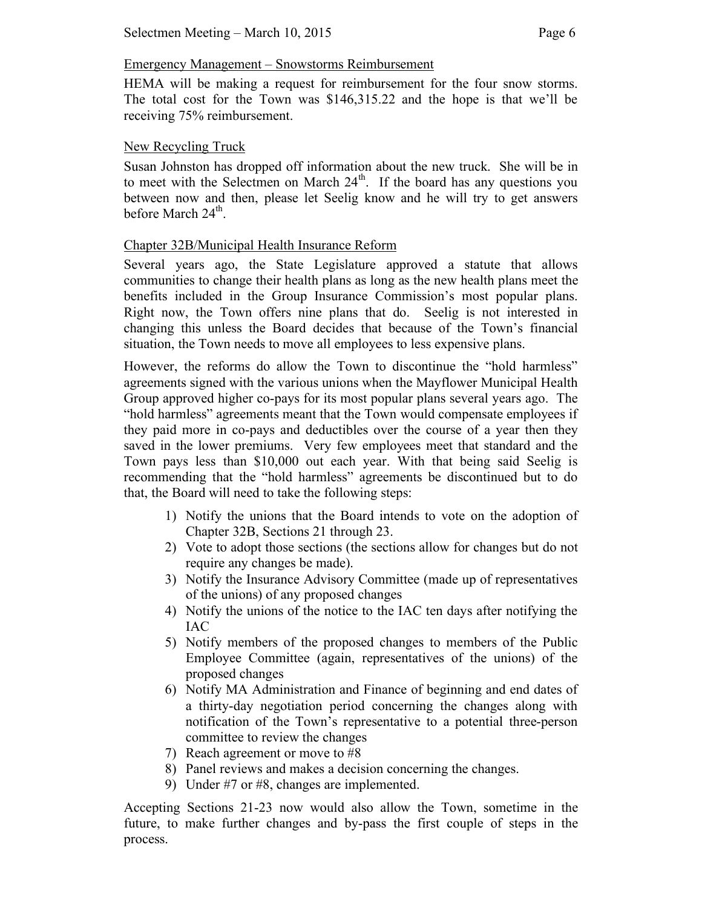#### Emergency Management – Snowstorms Reimbursement

HEMA will be making a request for reimbursement for the four snow storms. The total cost for the Town was \$146,315.22 and the hope is that we'll be receiving 75% reimbursement.

#### New Recycling Truck

Susan Johnston has dropped off information about the new truck. She will be in to meet with the Selectmen on March  $24<sup>th</sup>$ . If the board has any questions you between now and then, please let Seelig know and he will try to get answers before March  $24<sup>th</sup>$ .

#### Chapter 32B/Municipal Health Insurance Reform

Several years ago, the State Legislature approved a statute that allows communities to change their health plans as long as the new health plans meet the benefits included in the Group Insurance Commission's most popular plans. Right now, the Town offers nine plans that do. Seelig is not interested in changing this unless the Board decides that because of the Town's financial situation, the Town needs to move all employees to less expensive plans.

However, the reforms do allow the Town to discontinue the "hold harmless" agreements signed with the various unions when the Mayflower Municipal Health Group approved higher co-pays for its most popular plans several years ago. The "hold harmless" agreements meant that the Town would compensate employees if they paid more in co-pays and deductibles over the course of a year then they saved in the lower premiums. Very few employees meet that standard and the Town pays less than \$10,000 out each year. With that being said Seelig is recommending that the "hold harmless" agreements be discontinued but to do that, the Board will need to take the following steps:

- 1) Notify the unions that the Board intends to vote on the adoption of Chapter 32B, Sections 21 through 23.
- 2) Vote to adopt those sections (the sections allow for changes but do not require any changes be made).
- 3) Notify the Insurance Advisory Committee (made up of representatives of the unions) of any proposed changes
- 4) Notify the unions of the notice to the IAC ten days after notifying the IAC
- 5) Notify members of the proposed changes to members of the Public Employee Committee (again, representatives of the unions) of the proposed changes
- 6) Notify MA Administration and Finance of beginning and end dates of a thirty-day negotiation period concerning the changes along with notification of the Town's representative to a potential three-person committee to review the changes
- 7) Reach agreement or move to #8
- 8) Panel reviews and makes a decision concerning the changes.
- 9) Under #7 or #8, changes are implemented.

Accepting Sections 21-23 now would also allow the Town, sometime in the future, to make further changes and by-pass the first couple of steps in the process.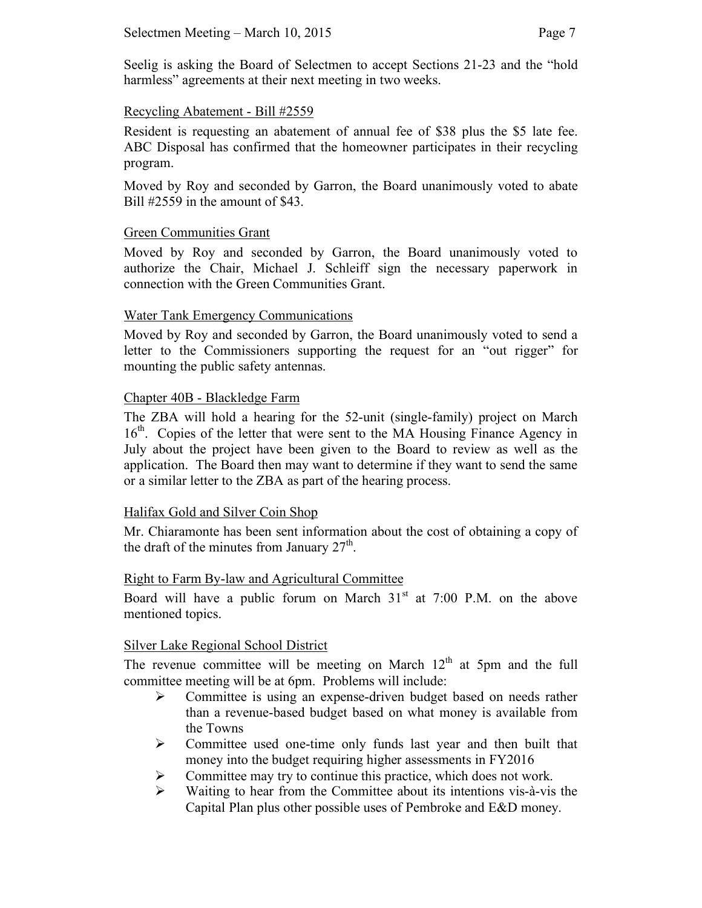#### Recycling Abatement - Bill #2559

Resident is requesting an abatement of annual fee of \$38 plus the \$5 late fee. ABC Disposal has confirmed that the homeowner participates in their recycling program.

Moved by Roy and seconded by Garron, the Board unanimously voted to abate Bill #2559 in the amount of \$43.

#### Green Communities Grant

Moved by Roy and seconded by Garron, the Board unanimously voted to authorize the Chair, Michael J. Schleiff sign the necessary paperwork in connection with the Green Communities Grant.

#### Water Tank Emergency Communications

Moved by Roy and seconded by Garron, the Board unanimously voted to send a letter to the Commissioners supporting the request for an "out rigger" for mounting the public safety antennas.

#### Chapter 40B - Blackledge Farm

The ZBA will hold a hearing for the 52-unit (single-family) project on March 16<sup>th</sup>. Copies of the letter that were sent to the MA Housing Finance Agency in July about the project have been given to the Board to review as well as the application. The Board then may want to determine if they want to send the same or a similar letter to the ZBA as part of the hearing process.

# Halifax Gold and Silver Coin Shop

Mr. Chiaramonte has been sent information about the cost of obtaining a copy of the draft of the minutes from January  $27<sup>th</sup>$ .

#### Right to Farm By-law and Agricultural Committee

Board will have a public forum on March  $31<sup>st</sup>$  at 7:00 P.M. on the above mentioned topics.

# Silver Lake Regional School District

The revenue committee will be meeting on March  $12<sup>th</sup>$  at 5pm and the full committee meeting will be at 6pm. Problems will include:

- Committee is using an expense-driven budget based on needs rather than a revenue-based budget based on what money is available from the Towns
- $\triangleright$  Committee used one-time only funds last year and then built that money into the budget requiring higher assessments in FY2016
- $\triangleright$  Committee may try to continue this practice, which does not work.
- $\triangleright$  Waiting to hear from the Committee about its intentions vis-à-vis the Capital Plan plus other possible uses of Pembroke and E&D money.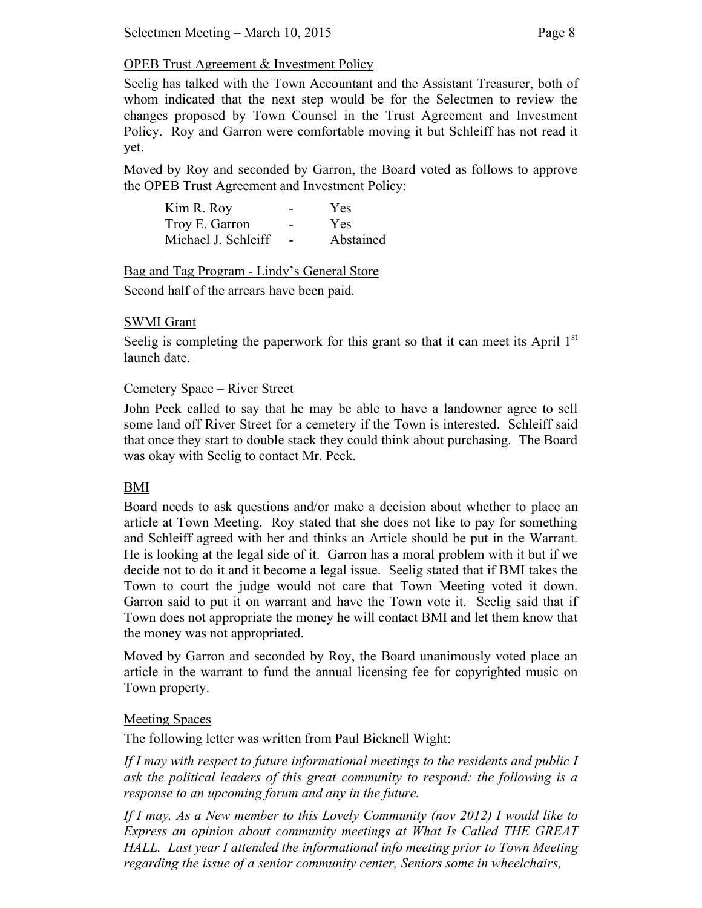# OPEB Trust Agreement & Investment Policy

Seelig has talked with the Town Accountant and the Assistant Treasurer, both of whom indicated that the next step would be for the Selectmen to review the changes proposed by Town Counsel in the Trust Agreement and Investment Policy. Roy and Garron were comfortable moving it but Schleiff has not read it yet.

Moved by Roy and seconded by Garron, the Board voted as follows to approve the OPEB Trust Agreement and Investment Policy:

| Kim R. Roy          | -                        | Yes       |
|---------------------|--------------------------|-----------|
| Troy E. Garron      | -                        | Yes       |
| Michael J. Schleiff | $\overline{\phantom{0}}$ | Abstained |

Bag and Tag Program - Lindy's General Store

Second half of the arrears have been paid.

# SWMI Grant

Seelig is completing the paperwork for this grant so that it can meet its April  $1<sup>st</sup>$ launch date.

# Cemetery Space – River Street

John Peck called to say that he may be able to have a landowner agree to sell some land off River Street for a cemetery if the Town is interested. Schleiff said that once they start to double stack they could think about purchasing. The Board was okay with Seelig to contact Mr. Peck.

# BMI

Board needs to ask questions and/or make a decision about whether to place an article at Town Meeting. Roy stated that she does not like to pay for something and Schleiff agreed with her and thinks an Article should be put in the Warrant. He is looking at the legal side of it. Garron has a moral problem with it but if we decide not to do it and it become a legal issue. Seelig stated that if BMI takes the Town to court the judge would not care that Town Meeting voted it down. Garron said to put it on warrant and have the Town vote it. Seelig said that if Town does not appropriate the money he will contact BMI and let them know that the money was not appropriated.

Moved by Garron and seconded by Roy, the Board unanimously voted place an article in the warrant to fund the annual licensing fee for copyrighted music on Town property.

# Meeting Spaces

The following letter was written from Paul Bicknell Wight:

*If I may with respect to future informational meetings to the residents and public I ask the political leaders of this great community to respond: the following is a response to an upcoming forum and any in the future.*

*If I may, As a New member to this Lovely Community (nov 2012) I would like to Express an opinion about community meetings at What Is Called THE GREAT HALL. Last year I attended the informational info meeting prior to Town Meeting regarding the issue of a senior community center, Seniors some in wheelchairs,*